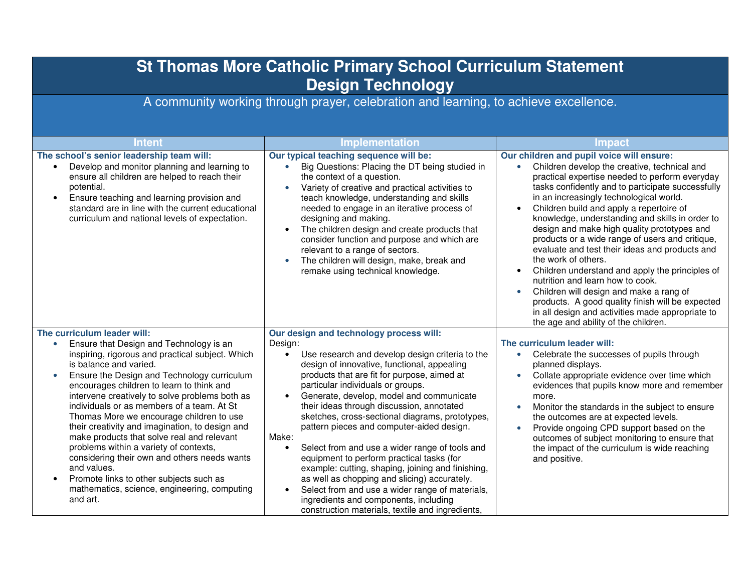| <b>St Thomas More Catholic Primary School Curriculum Statement</b><br><b>Design Technology</b>                                                                                                                                                                                                                                                                                                                                                                                                                                                                                                                                                                                                                                          |                                                                                                                                                                                                                                                                                                                                                                                                                                                                                                                                                                                                                                                                                                                                                                                                                          |                                                                                                                                                                                                                                                                                                                                                                                                                                                                                                                                                                                                                                                                                                                                                                                                                                   |  |
|-----------------------------------------------------------------------------------------------------------------------------------------------------------------------------------------------------------------------------------------------------------------------------------------------------------------------------------------------------------------------------------------------------------------------------------------------------------------------------------------------------------------------------------------------------------------------------------------------------------------------------------------------------------------------------------------------------------------------------------------|--------------------------------------------------------------------------------------------------------------------------------------------------------------------------------------------------------------------------------------------------------------------------------------------------------------------------------------------------------------------------------------------------------------------------------------------------------------------------------------------------------------------------------------------------------------------------------------------------------------------------------------------------------------------------------------------------------------------------------------------------------------------------------------------------------------------------|-----------------------------------------------------------------------------------------------------------------------------------------------------------------------------------------------------------------------------------------------------------------------------------------------------------------------------------------------------------------------------------------------------------------------------------------------------------------------------------------------------------------------------------------------------------------------------------------------------------------------------------------------------------------------------------------------------------------------------------------------------------------------------------------------------------------------------------|--|
| A community working through prayer, celebration and learning, to achieve excellence.                                                                                                                                                                                                                                                                                                                                                                                                                                                                                                                                                                                                                                                    |                                                                                                                                                                                                                                                                                                                                                                                                                                                                                                                                                                                                                                                                                                                                                                                                                          |                                                                                                                                                                                                                                                                                                                                                                                                                                                                                                                                                                                                                                                                                                                                                                                                                                   |  |
| <b>Intent</b>                                                                                                                                                                                                                                                                                                                                                                                                                                                                                                                                                                                                                                                                                                                           | <b>Implementation</b>                                                                                                                                                                                                                                                                                                                                                                                                                                                                                                                                                                                                                                                                                                                                                                                                    | <b>Impact</b>                                                                                                                                                                                                                                                                                                                                                                                                                                                                                                                                                                                                                                                                                                                                                                                                                     |  |
| The school's senior leadership team will:<br>Develop and monitor planning and learning to<br>ensure all children are helped to reach their<br>potential.<br>Ensure teaching and learning provision and<br>$\bullet$<br>standard are in line with the current educational<br>curriculum and national levels of expectation.                                                                                                                                                                                                                                                                                                                                                                                                              | Our typical teaching sequence will be:<br>Big Questions: Placing the DT being studied in<br>$\bullet$<br>the context of a question.<br>Variety of creative and practical activities to<br>teach knowledge, understanding and skills<br>needed to engage in an iterative process of<br>designing and making.<br>The children design and create products that<br>$\bullet$<br>consider function and purpose and which are<br>relevant to a range of sectors.<br>The children will design, make, break and<br>remake using technical knowledge.                                                                                                                                                                                                                                                                             | Our children and pupil voice will ensure:<br>Children develop the creative, technical and<br>$\bullet$<br>practical expertise needed to perform everyday<br>tasks confidently and to participate successfully<br>in an increasingly technological world.<br>Children build and apply a repertoire of<br>knowledge, understanding and skills in order to<br>design and make high quality prototypes and<br>products or a wide range of users and critique,<br>evaluate and test their ideas and products and<br>the work of others.<br>Children understand and apply the principles of<br>nutrition and learn how to cook.<br>Children will design and make a rang of<br>$\bullet$<br>products. A good quality finish will be expected<br>in all design and activities made appropriate to<br>the age and ability of the children. |  |
| The curriculum leader will:<br>Ensure that Design and Technology is an<br>inspiring, rigorous and practical subject. Which<br>is balance and varied.<br>Ensure the Design and Technology curriculum<br>$\bullet$<br>encourages children to learn to think and<br>intervene creatively to solve problems both as<br>individuals or as members of a team. At St<br>Thomas More we encourage children to use<br>their creativity and imagination, to design and<br>make products that solve real and relevant<br>problems within a variety of contexts,<br>considering their own and others needs wants<br>and values.<br>Promote links to other subjects such as<br>$\bullet$<br>mathematics, science, engineering, computing<br>and art. | Our design and technology process will:<br>Design:<br>Use research and develop design criteria to the<br>$\bullet$<br>design of innovative, functional, appealing<br>products that are fit for purpose, aimed at<br>particular individuals or groups.<br>Generate, develop, model and communicate<br>their ideas through discussion, annotated<br>sketches, cross-sectional diagrams, prototypes,<br>pattern pieces and computer-aided design.<br>Make:<br>Select from and use a wider range of tools and<br>$\bullet$<br>equipment to perform practical tasks (for<br>example: cutting, shaping, joining and finishing,<br>as well as chopping and slicing) accurately.<br>Select from and use a wider range of materials,<br>ingredients and components, including<br>construction materials, textile and ingredients, | The curriculum leader will:<br>Celebrate the successes of pupils through<br>$\bullet$<br>planned displays.<br>Collate appropriate evidence over time which<br>$\bullet$<br>evidences that pupils know more and remember<br>more.<br>Monitor the standards in the subject to ensure<br>$\bullet$<br>the outcomes are at expected levels.<br>Provide ongoing CPD support based on the<br>$\bullet$<br>outcomes of subject monitoring to ensure that<br>the impact of the curriculum is wide reaching<br>and positive.                                                                                                                                                                                                                                                                                                               |  |